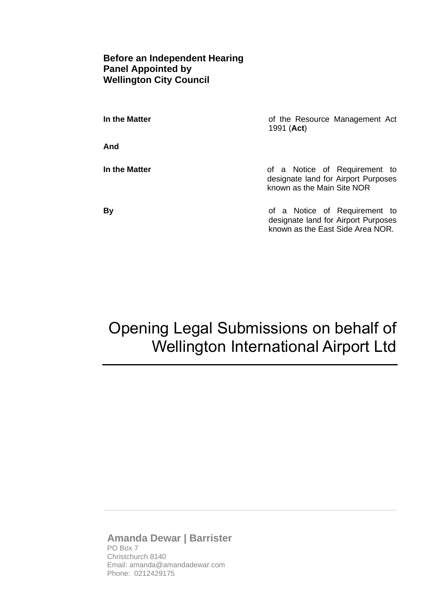#### **Before an Independent Hearing Panel Appointed by Wellington City Council**

| In the Matter | of the Resource Management Act<br>1991 ( <b>Act</b> )                                                    |
|---------------|----------------------------------------------------------------------------------------------------------|
| And           |                                                                                                          |
| In the Matter | of a Notice of Requirement to<br>designate land for Airport Purposes<br>known as the Main Site NOR       |
| By            | of a Notice of Requirement to<br>designate land for Airport Purposes<br>known as the East Side Area NOR. |

# Opening Legal Submissions on behalf of Wellington International Airport Ltd

#### **Amanda Dewar | Barrister** PO Box 7 Christchurch 8140

Email: amanda@amandadewar.com Phone: 0212429175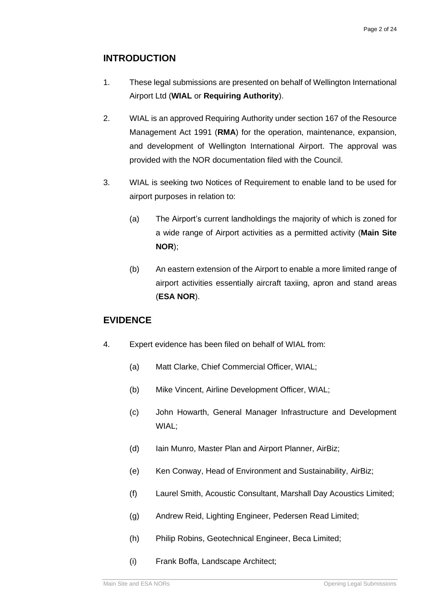## **INTRODUCTION**

- 1. These legal submissions are presented on behalf of Wellington International Airport Ltd (**WIAL** or **Requiring Authority**).
- 2. WIAL is an approved Requiring Authority under section 167 of the Resource Management Act 1991 (**RMA**) for the operation, maintenance, expansion, and development of Wellington International Airport. The approval was provided with the NOR documentation filed with the Council.
- 3. WIAL is seeking two Notices of Requirement to enable land to be used for airport purposes in relation to:
	- (a) The Airport's current landholdings the majority of which is zoned for a wide range of Airport activities as a permitted activity (**Main Site NOR**);
	- (b) An eastern extension of the Airport to enable a more limited range of airport activities essentially aircraft taxiing, apron and stand areas (**ESA NOR**).

#### **EVIDENCE**

- 4. Expert evidence has been filed on behalf of WIAL from:
	- (a) Matt Clarke, Chief Commercial Officer, WIAL;
	- (b) Mike Vincent, Airline Development Officer, WIAL;
	- (c) John Howarth, General Manager Infrastructure and Development WIAL;
	- (d) Iain Munro, Master Plan and Airport Planner, AirBiz;
	- (e) Ken Conway, Head of Environment and Sustainability, AirBiz;
	- (f) Laurel Smith, Acoustic Consultant, Marshall Day Acoustics Limited;
	- (g) Andrew Reid, Lighting Engineer, Pedersen Read Limited;
	- (h) Philip Robins, Geotechnical Engineer, Beca Limited;
	- (i) Frank Boffa, Landscape Architect;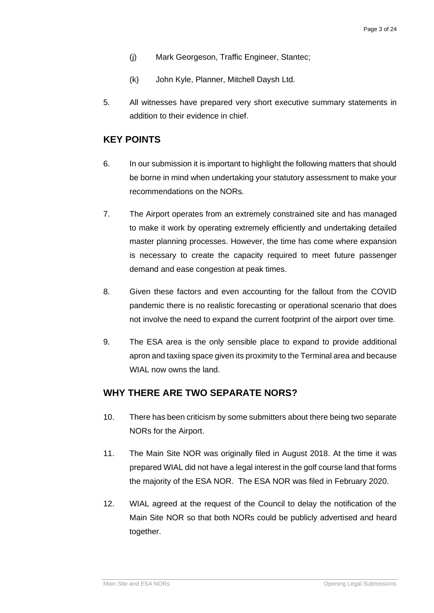- (j) Mark Georgeson, Traffic Engineer, Stantec;
- (k) John Kyle, Planner, Mitchell Daysh Ltd.
- 5. All witnesses have prepared very short executive summary statements in addition to their evidence in chief.

#### **KEY POINTS**

- 6. In our submission it is important to highlight the following matters that should be borne in mind when undertaking your statutory assessment to make your recommendations on the NORs.
- 7. The Airport operates from an extremely constrained site and has managed to make it work by operating extremely efficiently and undertaking detailed master planning processes. However, the time has come where expansion is necessary to create the capacity required to meet future passenger demand and ease congestion at peak times.
- 8. Given these factors and even accounting for the fallout from the COVID pandemic there is no realistic forecasting or operational scenario that does not involve the need to expand the current footprint of the airport over time.
- 9. The ESA area is the only sensible place to expand to provide additional apron and taxiing space given its proximity to the Terminal area and because WIAL now owns the land.

#### **WHY THERE ARE TWO SEPARATE NORS?**

- 10. There has been criticism by some submitters about there being two separate NORs for the Airport.
- 11. The Main Site NOR was originally filed in August 2018. At the time it was prepared WIAL did not have a legal interest in the golf course land that forms the majority of the ESA NOR. The ESA NOR was filed in February 2020.
- 12. WIAL agreed at the request of the Council to delay the notification of the Main Site NOR so that both NORs could be publicly advertised and heard together.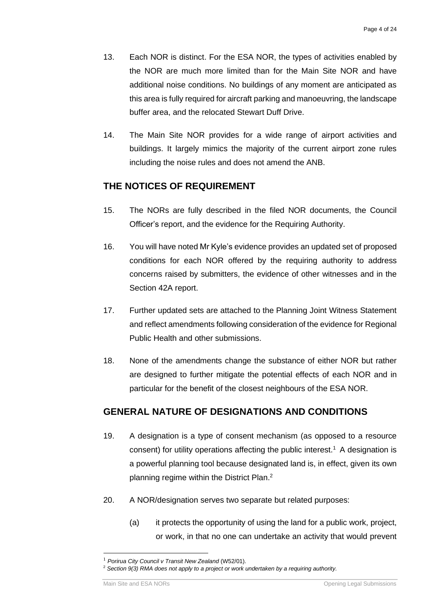- 13. Each NOR is distinct. For the ESA NOR, the types of activities enabled by the NOR are much more limited than for the Main Site NOR and have additional noise conditions. No buildings of any moment are anticipated as this area is fully required for aircraft parking and manoeuvring, the landscape buffer area, and the relocated Stewart Duff Drive.
- 14. The Main Site NOR provides for a wide range of airport activities and buildings. It largely mimics the majority of the current airport zone rules including the noise rules and does not amend the ANB.

## **THE NOTICES OF REQUIREMENT**

- 15. The NORs are fully described in the filed NOR documents, the Council Officer's report, and the evidence for the Requiring Authority.
- 16. You will have noted Mr Kyle's evidence provides an updated set of proposed conditions for each NOR offered by the requiring authority to address concerns raised by submitters, the evidence of other witnesses and in the Section 42A report.
- 17. Further updated sets are attached to the Planning Joint Witness Statement and reflect amendments following consideration of the evidence for Regional Public Health and other submissions.
- 18. None of the amendments change the substance of either NOR but rather are designed to further mitigate the potential effects of each NOR and in particular for the benefit of the closest neighbours of the ESA NOR.

## **GENERAL NATURE OF DESIGNATIONS AND CONDITIONS**

- 19. A designation is a type of consent mechanism (as opposed to a resource consent) for utility operations affecting the public interest.<sup>1</sup> A designation is a powerful planning tool because designated land is, in effect, given its own planning regime within the District Plan.<sup>2</sup>
- 20. A NOR/designation serves two separate but related purposes:
	- (a) it protects the opportunity of using the land for a public work, project, or work, in that no one can undertake an activity that would prevent

<sup>1</sup> *Porirua City Council v Transit New Zealand* (W52/01).

<sup>2</sup> *Section 9(3) RMA does not apply to a project or work undertaken by a requiring authority.*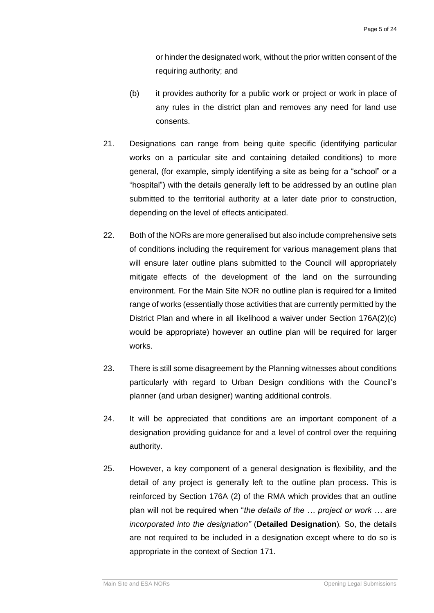or hinder the designated work, without the prior written consent of the requiring authority; and

- (b) it provides authority for a public work or project or work in place of any rules in the district plan and removes any need for land use consents.
- 21. Designations can range from being quite specific (identifying particular works on a particular site and containing detailed conditions) to more general, (for example, simply identifying a site as being for a "school" or a "hospital") with the details generally left to be addressed by an outline plan submitted to the territorial authority at a later date prior to construction, depending on the level of effects anticipated.
- 22. Both of the NORs are more generalised but also include comprehensive sets of conditions including the requirement for various management plans that will ensure later outline plans submitted to the Council will appropriately mitigate effects of the development of the land on the surrounding environment. For the Main Site NOR no outline plan is required for a limited range of works (essentially those activities that are currently permitted by the District Plan and where in all likelihood a waiver under Section 176A(2)(c) would be appropriate) however an outline plan will be required for larger works.
- 23. There is still some disagreement by the Planning witnesses about conditions particularly with regard to Urban Design conditions with the Council's planner (and urban designer) wanting additional controls.
- 24. It will be appreciated that conditions are an important component of a designation providing guidance for and a level of control over the requiring authority.
- 25. However, a key component of a general designation is flexibility, and the detail of any project is generally left to the outline plan process. This is reinforced by Section 176A (2) of the RMA which provides that an outline plan will not be required when "*the details of the … project or work … are incorporated into the designation"* (**Detailed Designation**)*.* So, the details are not required to be included in a designation except where to do so is appropriate in the context of Section 171.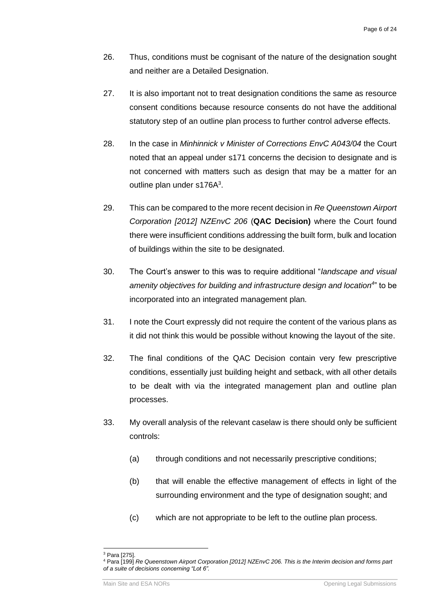- 26. Thus, conditions must be cognisant of the nature of the designation sought and neither are a Detailed Designation.
- 27. It is also important not to treat designation conditions the same as resource consent conditions because resource consents do not have the additional statutory step of an outline plan process to further control adverse effects.
- 28. In the case in *Minhinnick v Minister of Corrections EnvC A043/04* the Court noted that an appeal under s171 concerns the decision to designate and is not concerned with matters such as design that may be a matter for an outline plan under s176 $A^3$ .
- 29. This can be compared to the more recent decision in *Re Queenstown Airport Corporation [2012] NZEnvC 206* (**QAC Decision)** where the Court found there were insufficient conditions addressing the built form, bulk and location of buildings within the site to be designated.
- 30. The Court's answer to this was to require additional "*landscape and visual amenity objectives for building and infrastructure design and location<sup>4</sup>* " to be incorporated into an integrated management plan.
- 31. I note the Court expressly did not require the content of the various plans as it did not think this would be possible without knowing the layout of the site.
- 32. The final conditions of the QAC Decision contain very few prescriptive conditions, essentially just building height and setback, with all other details to be dealt with via the integrated management plan and outline plan processes.
- 33. My overall analysis of the relevant caselaw is there should only be sufficient controls:
	- (a) through conditions and not necessarily prescriptive conditions;
	- (b) that will enable the effective management of effects in light of the surrounding environment and the type of designation sought; and
	- (c) which are not appropriate to be left to the outline plan process.

<sup>&</sup>lt;sup>3</sup> Para [275].

<sup>4</sup> Para [199] *Re Queenstown Airport Corporation [2012] NZEnvC 206. This is the Interim decision and forms part of a suite of decisions concerning "Lot 6".*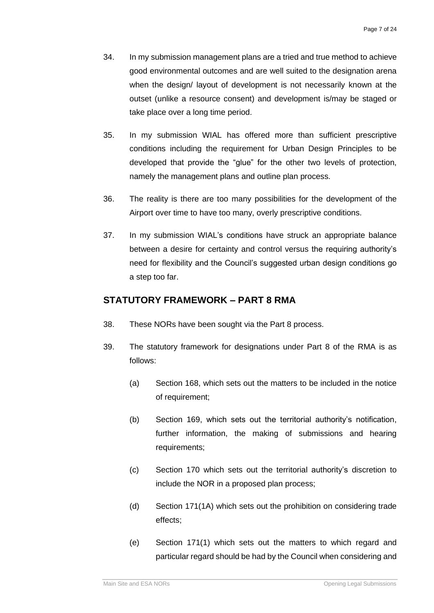- 34. In my submission management plans are a tried and true method to achieve good environmental outcomes and are well suited to the designation arena when the design/ layout of development is not necessarily known at the outset (unlike a resource consent) and development is/may be staged or take place over a long time period.
- 35. In my submission WIAL has offered more than sufficient prescriptive conditions including the requirement for Urban Design Principles to be developed that provide the "glue" for the other two levels of protection, namely the management plans and outline plan process.
- 36. The reality is there are too many possibilities for the development of the Airport over time to have too many, overly prescriptive conditions.
- 37. In my submission WIAL's conditions have struck an appropriate balance between a desire for certainty and control versus the requiring authority's need for flexibility and the Council's suggested urban design conditions go a step too far.

## **STATUTORY FRAMEWORK – PART 8 RMA**

- 38. These NORs have been sought via the Part 8 process.
- 39. The statutory framework for designations under Part 8 of the RMA is as follows:
	- (a) Section 168, which sets out the matters to be included in the notice of requirement;
	- (b) Section 169, which sets out the territorial authority's notification, further information, the making of submissions and hearing requirements;
	- (c) Section 170 which sets out the territorial authority's discretion to include the NOR in a proposed plan process;
	- (d) Section 171(1A) which sets out the prohibition on considering trade effects;
	- (e) Section 171(1) which sets out the matters to which regard and particular regard should be had by the Council when considering and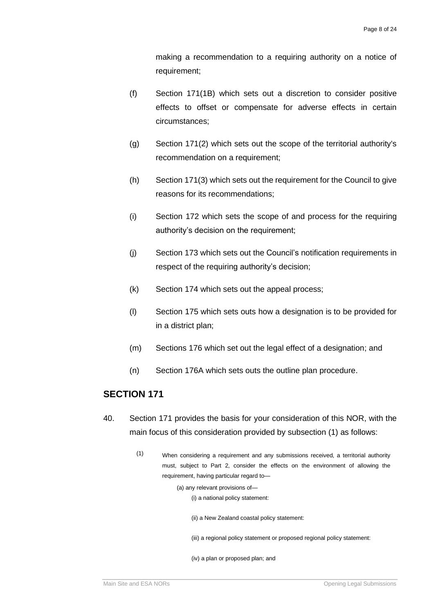making a recommendation to a requiring authority on a notice of requirement;

- (f) Section 171(1B) which sets out a discretion to consider positive effects to offset or compensate for adverse effects in certain circumstances;
- (g) Section 171(2) which sets out the scope of the territorial authority's recommendation on a requirement;
- (h) Section 171(3) which sets out the requirement for the Council to give reasons for its recommendations;
- (i) Section 172 which sets the scope of and process for the requiring authority's decision on the requirement;
- (j) Section 173 which sets out the Council's notification requirements in respect of the requiring authority's decision;
- (k) Section 174 which sets out the appeal process;
- (l) Section 175 which sets outs how a designation is to be provided for in a district plan;
- (m) Sections 176 which set out the legal effect of a designation; and
- (n) Section 176A which sets outs the outline plan procedure.

#### **SECTION 171**

- 40. Section 171 provides the basis for your consideration of this NOR, with the main focus of this consideration provided by subsection (1) as follows:
	- (1) When considering a requirement and any submissions received, a territorial authority must, subject to Part 2, consider the effects on the environment of allowing the requirement, having particular regard to—

(a) any relevant provisions of— (i) a national policy statement:

(ii) a New Zealand coastal policy statement:

(iii) a regional policy statement or proposed regional policy statement:

(iv) a plan or proposed plan; and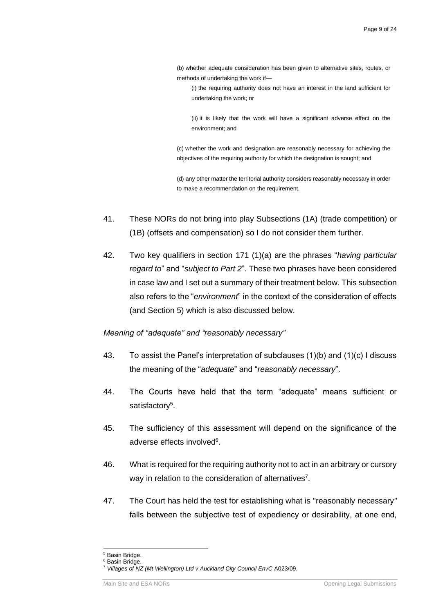- (b) whether adequate consideration has been given to alternative sites, routes, or methods of undertaking the work if—
	- (i) the requiring authority does not have an interest in the land sufficient for undertaking the work; or

(ii) it is likely that the work will have a significant adverse effect on the environment; and

(c) whether the work and designation are reasonably necessary for achieving the objectives of the requiring authority for which the designation is sought; and

(d) any other matter the territorial authority considers reasonably necessary in order to make a recommendation on the requirement.

- 41. These NORs do not bring into play Subsections (1A) (trade competition) or (1B) (offsets and compensation) so I do not consider them further.
- 42. Two key qualifiers in section 171 (1)(a) are the phrases "*having particular regard to*" and "*subject to Part 2*". These two phrases have been considered in case law and I set out a summary of their treatment below. This subsection also refers to the "*environment*" in the context of the consideration of effects (and Section 5) which is also discussed below.

#### *Meaning of "adequate" and "reasonably necessary"*

- 43. To assist the Panel's interpretation of subclauses  $(1)(b)$  and  $(1)(c)$  I discuss the meaning of the "*adequate*" and "*reasonably necessary*".
- 44. The Courts have held that the term "adequate" means sufficient or satisfactory<sup>5</sup>.
- 45. The sufficiency of this assessment will depend on the significance of the adverse effects involved<sup>6</sup>.
- 46. What is required for the requiring authority not to act in an arbitrary or cursory way in relation to the consideration of alternatives<sup>7</sup>.
- 47. The Court has held the test for establishing what is "reasonably necessary*"* falls between the subjective test of expediency or desirability, at one end,

<sup>5</sup> Basin Bridge.

<sup>6</sup> Basin Bridge.

<sup>7</sup> *Villages of NZ (Mt Wellington) Ltd v Auckland City Council EnvC* A023/09.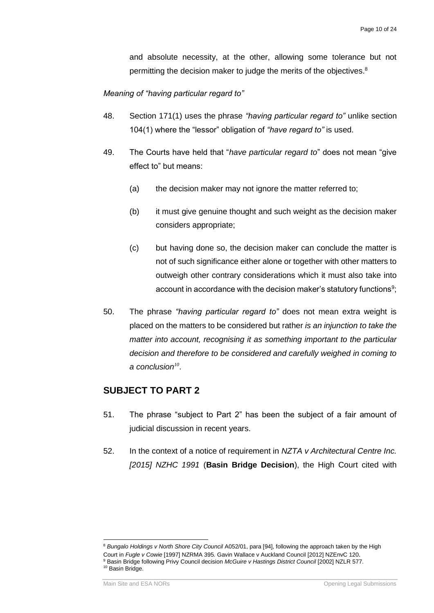and absolute necessity, at the other, allowing some tolerance but not permitting the decision maker to judge the merits of the objectives.<sup>8</sup>

*Meaning of "having particular regard to"*

- 48. Section 171(1) uses the phrase *"having particular regard to"* unlike section 104(1) where the "lessor" obligation of *"have regard to"* is used.
- 49. The Courts have held that "*have particular regard to*" does not mean "give effect to" but means:
	- (a) the decision maker may not ignore the matter referred to;
	- (b) it must give genuine thought and such weight as the decision maker considers appropriate;
	- (c) but having done so, the decision maker can conclude the matter is not of such significance either alone or together with other matters to outweigh other contrary considerations which it must also take into account in accordance with the decision maker's statutory functions $9,$
- 50. The phrase *"having particular regard to"* does not mean extra weight is placed on the matters to be considered but rather *is an injunction to take the matter into account, recognising it as something important to the particular decision and therefore to be considered and carefully weighed in coming to a conclusion<sup>10</sup>* .

#### **SUBJECT TO PART 2**

- 51. The phrase "subject to Part 2" has been the subject of a fair amount of judicial discussion in recent years.
- 52. In the context of a notice of requirement in *NZTA v Architectural Centre Inc. [2015] NZHC 1991* (**Basin Bridge Decision**), the High Court cited with

<sup>8</sup> *Bungalo Holdings v North Shore City Council* A052/01, para [94], following the approach taken by the High Court in *Fugle v Cowie* [1997] NZRMA 395. Gavin Wallace v Auckland Council [2012] NZEnvC 120. <sup>9</sup> Basin Bridge following Privy Council decision *McGuire v Hastings District Council* [2002] NZLR 577. <sup>10</sup> Basin Bridge.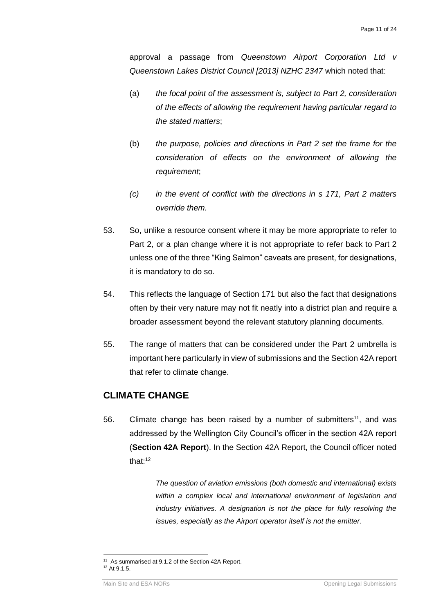approval a passage from *Queenstown Airport Corporation Ltd v Queenstown Lakes District Council [2013] NZHC 2347* which noted that:

- (a) *the focal point of the assessment is, subject to Part 2, consideration of the effects of allowing the requirement having particular regard to the stated matters*;
- (b) *the purpose, policies and directions in Part 2 set the frame for the consideration of effects on the environment of allowing the requirement*;
- *(c) in the event of conflict with the directions in s 171, Part 2 matters override them.*
- 53. So, unlike a resource consent where it may be more appropriate to refer to Part 2, or a plan change where it is not appropriate to refer back to Part 2 unless one of the three "King Salmon" caveats are present, for designations, it is mandatory to do so.
- 54. This reflects the language of Section 171 but also the fact that designations often by their very nature may not fit neatly into a district plan and require a broader assessment beyond the relevant statutory planning documents.
- 55. The range of matters that can be considered under the Part 2 umbrella is important here particularly in view of submissions and the Section 42A report that refer to climate change.

## **CLIMATE CHANGE**

56. Climate change has been raised by a number of submitters $11$ , and was addressed by the Wellington City Council's officer in the section 42A report (**Section 42A Report**). In the Section 42A Report, the Council officer noted that $t<sup>12</sup>$ 

> *The question of aviation emissions (both domestic and international) exists within a complex local and international environment of legislation and industry initiatives. A designation is not the place for fully resolving the issues, especially as the Airport operator itself is not the emitter.*

<sup>&</sup>lt;sup>11</sup> As summarised at 9.1.2 of the Section 42A Report. <sup>12</sup> At 9.1.5.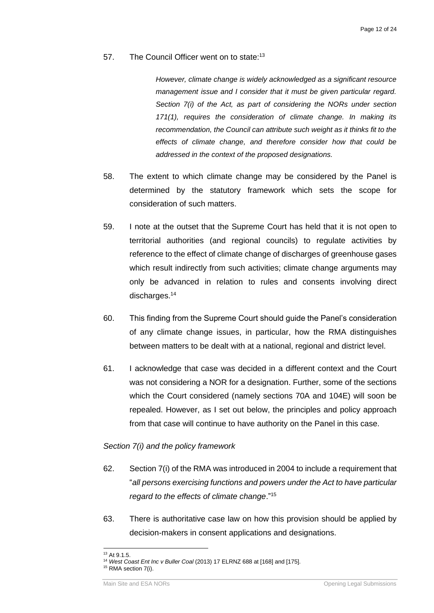57. The Council Officer went on to state:<sup>13</sup>

*However, climate change is widely acknowledged as a significant resource management issue and I consider that it must be given particular regard. Section 7(i) of the Act, as part of considering the NORs under section 171(1), requires the consideration of climate change. In making its*  recommendation, the Council can attribute such weight as it thinks fit to the *effects of climate change, and therefore consider how that could be addressed in the context of the proposed designations.*

- 58. The extent to which climate change may be considered by the Panel is determined by the statutory framework which sets the scope for consideration of such matters.
- 59. I note at the outset that the Supreme Court has held that it is not open to territorial authorities (and regional councils) to regulate activities by reference to the effect of climate change of discharges of greenhouse gases which result indirectly from such activities; climate change arguments may only be advanced in relation to rules and consents involving direct discharges.<sup>14</sup>
- 60. This finding from the Supreme Court should guide the Panel's consideration of any climate change issues, in particular, how the RMA distinguishes between matters to be dealt with at a national, regional and district level.
- 61. I acknowledge that case was decided in a different context and the Court was not considering a NOR for a designation. Further, some of the sections which the Court considered (namely sections 70A and 104E) will soon be repealed. However, as I set out below, the principles and policy approach from that case will continue to have authority on the Panel in this case.

#### *Section 7(i) and the policy framework*

- 62. Section 7(i) of the RMA was introduced in 2004 to include a requirement that "*all persons exercising functions and powers under the Act to have particular regard to the effects of climate change*."<sup>15</sup>
- 63. There is authoritative case law on how this provision should be applied by decision-makers in consent applications and designations.

<sup>&</sup>lt;sup>13</sup> At 9.1.5.

<sup>14</sup> *West Coast Ent Inc v Buller Coal* (2013) 17 ELRNZ 688 at [168] and [175].

<sup>&</sup>lt;sup>15</sup> RMA section 7(i).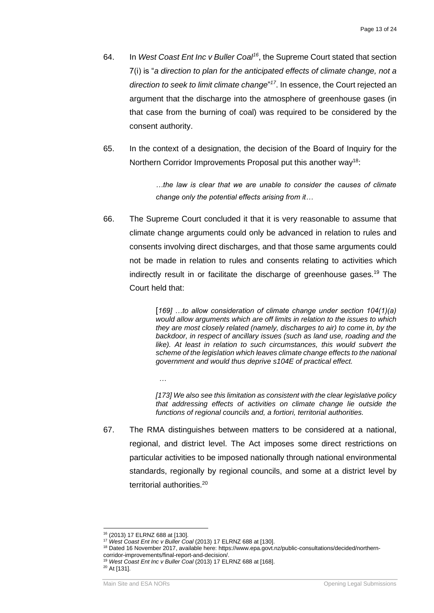- 64. In West Coast Ent Inc v Buller Coal<sup>16</sup>, the Supreme Court stated that section 7(i) is "*a direction to plan for the anticipated effects of climate change, not a direction to seek to limit climate change*" *17* . In essence, the Court rejected an argument that the discharge into the atmosphere of greenhouse gases (in that case from the burning of coal) was required to be considered by the consent authority.
- 65. In the context of a designation, the decision of the Board of Inquiry for the Northern Corridor Improvements Proposal put this another way<sup>18</sup>:

*…the law is clear that we are unable to consider the causes of climate change only the potential effects arising from it…*

66. The Supreme Court concluded it that it is very reasonable to assume that climate change arguments could only be advanced in relation to rules and consents involving direct discharges, and that those same arguments could not be made in relation to rules and consents relating to activities which indirectly result in or facilitate the discharge of greenhouse gases.<sup>19</sup> The Court held that:

> [*169] …to allow consideration of climate change under section 104(1)(a) would allow arguments which are off limits in relation to the issues to which they are most closely related (namely, discharges to air) to come in, by the backdoor, in respect of ancillary issues (such as land use, roading and the*  like). At least in relation to such circumstances, this would subvert the *scheme of the legislation which leaves climate change effects to the national government and would thus deprive s104E of practical effect.*

> *[173] We also see this limitation as consistent with the clear legislative policy that addressing effects of activities on climate change lie outside the functions of regional councils and, a fortiori, territorial authorities.*

67. The RMA distinguishes between matters to be considered at a national, regional, and district level. The Act imposes some direct restrictions on particular activities to be imposed nationally through national environmental standards, regionally by regional councils, and some at a district level by territorial authorities.<sup>20</sup>

*…*

<sup>16</sup> (2013) 17 ELRNZ 688 at [130].

<sup>17</sup> *West Coast Ent Inc v Buller Coal* (2013) 17 ELRNZ 688 at [130].

<sup>18</sup> Dated 16 November 2017, available here: https://www.epa.govt.nz/public-consultations/decided/northerncorridor-improvements/final-report-and-decision/.

<sup>&</sup>lt;sup>19</sup> West Coast Ent Inc v Buller Coal (2013) 17 ELRNZ 688 at [168].

<sup>20</sup> At [131].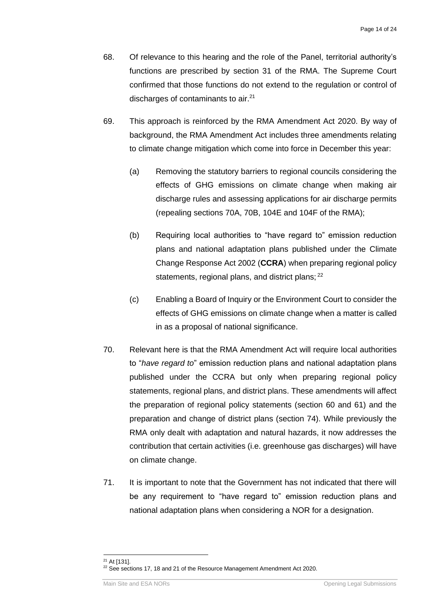- 68. Of relevance to this hearing and the role of the Panel, territorial authority's functions are prescribed by section 31 of the RMA. The Supreme Court confirmed that those functions do not extend to the regulation or control of discharges of contaminants to air.<sup>21</sup>
- 69. This approach is reinforced by the RMA Amendment Act 2020. By way of background, the RMA Amendment Act includes three amendments relating to climate change mitigation which come into force in December this year:
	- (a) Removing the statutory barriers to regional councils considering the effects of GHG emissions on climate change when making air discharge rules and assessing applications for air discharge permits (repealing sections 70A, 70B, 104E and 104F of the RMA);
	- (b) Requiring local authorities to "have regard to" emission reduction plans and national adaptation plans published under the Climate Change Response Act 2002 (**CCRA**) when preparing regional policy statements, regional plans, and district plans; <sup>22</sup>
	- (c) Enabling a Board of Inquiry or the Environment Court to consider the effects of GHG emissions on climate change when a matter is called in as a proposal of national significance.
- 70. Relevant here is that the RMA Amendment Act will require local authorities to "*have regard to*" emission reduction plans and national adaptation plans published under the CCRA but only when preparing regional policy statements, regional plans, and district plans. These amendments will affect the preparation of regional policy statements (section 60 and 61) and the preparation and change of district plans (section 74). While previously the RMA only dealt with adaptation and natural hazards, it now addresses the contribution that certain activities (i.e. greenhouse gas discharges) will have on climate change.
- 71. It is important to note that the Government has not indicated that there will be any requirement to "have regard to" emission reduction plans and national adaptation plans when considering a NOR for a designation.

<sup>21</sup> At [131]. <sup>22</sup> See sections 17, 18 and 21 of the Resource Management Amendment Act 2020.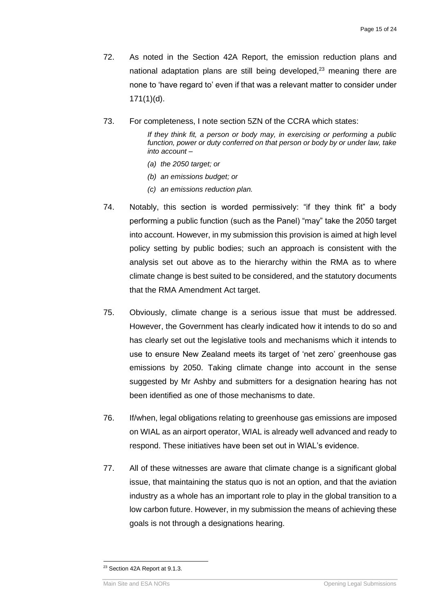- 72. As noted in the Section 42A Report, the emission reduction plans and national adaptation plans are still being developed,<sup>23</sup> meaning there are none to 'have regard to' even if that was a relevant matter to consider under 171(1)(d).
- 73. For completeness, I note section 5ZN of the CCRA which states:

*If they think fit, a person or body may, in exercising or performing a public*  function, power or duty conferred on that person or body by or under law, take *into account –*

- *(a) the 2050 target; or*
- *(b) an emissions budget; or*
- *(c) an emissions reduction plan.*
- 74. Notably, this section is worded permissively: "if they think fit" a body performing a public function (such as the Panel) "may" take the 2050 target into account. However, in my submission this provision is aimed at high level policy setting by public bodies; such an approach is consistent with the analysis set out above as to the hierarchy within the RMA as to where climate change is best suited to be considered, and the statutory documents that the RMA Amendment Act target.
- 75. Obviously, climate change is a serious issue that must be addressed. However, the Government has clearly indicated how it intends to do so and has clearly set out the legislative tools and mechanisms which it intends to use to ensure New Zealand meets its target of 'net zero' greenhouse gas emissions by 2050. Taking climate change into account in the sense suggested by Mr Ashby and submitters for a designation hearing has not been identified as one of those mechanisms to date.
- 76. If/when, legal obligations relating to greenhouse gas emissions are imposed on WIAL as an airport operator, WIAL is already well advanced and ready to respond. These initiatives have been set out in WIAL's evidence.
- 77. All of these witnesses are aware that climate change is a significant global issue, that maintaining the status quo is not an option, and that the aviation industry as a whole has an important role to play in the global transition to a low carbon future. However, in my submission the means of achieving these goals is not through a designations hearing.

<sup>&</sup>lt;sup>23</sup> Section 42A Report at 9.1.3.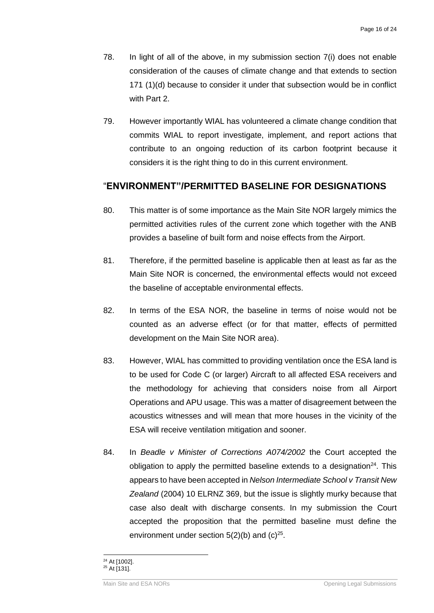- 78. In light of all of the above, in my submission section 7(i) does not enable consideration of the causes of climate change and that extends to section 171 (1)(d) because to consider it under that subsection would be in conflict with Part 2.
- 79. However importantly WIAL has volunteered a climate change condition that commits WIAL to report investigate, implement, and report actions that contribute to an ongoing reduction of its carbon footprint because it considers it is the right thing to do in this current environment.

#### "**ENVIRONMENT"/PERMITTED BASELINE FOR DESIGNATIONS**

- 80. This matter is of some importance as the Main Site NOR largely mimics the permitted activities rules of the current zone which together with the ANB provides a baseline of built form and noise effects from the Airport.
- 81. Therefore, if the permitted baseline is applicable then at least as far as the Main Site NOR is concerned, the environmental effects would not exceed the baseline of acceptable environmental effects.
- 82. In terms of the ESA NOR, the baseline in terms of noise would not be counted as an adverse effect (or for that matter, effects of permitted development on the Main Site NOR area).
- 83. However, WIAL has committed to providing ventilation once the ESA land is to be used for Code C (or larger) Aircraft to all affected ESA receivers and the methodology for achieving that considers noise from all Airport Operations and APU usage. This was a matter of disagreement between the acoustics witnesses and will mean that more houses in the vicinity of the ESA will receive ventilation mitigation and sooner.
- 84. In *Beadle v Minister of Corrections A074/2002* the Court accepted the obligation to apply the permitted baseline extends to a designation<sup>24</sup>. This appears to have been accepted in *Nelson Intermediate School v Transit New Zealand* (2004) 10 ELRNZ 369, but the issue is slightly murky because that case also dealt with discharge consents. In my submission the Court accepted the proposition that the permitted baseline must define the environment under section  $5(2)(b)$  and  $(c)^{25}$ .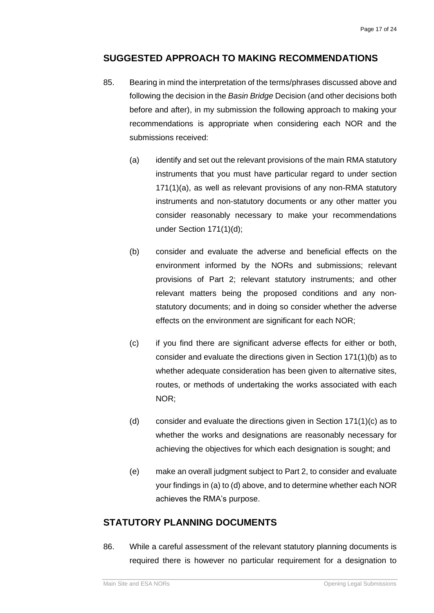## **SUGGESTED APPROACH TO MAKING RECOMMENDATIONS**

- 85. Bearing in mind the interpretation of the terms/phrases discussed above and following the decision in the *Basin Bridge* Decision (and other decisions both before and after), in my submission the following approach to making your recommendations is appropriate when considering each NOR and the submissions received:
	- (a) identify and set out the relevant provisions of the main RMA statutory instruments that you must have particular regard to under section 171(1)(a), as well as relevant provisions of any non-RMA statutory instruments and non-statutory documents or any other matter you consider reasonably necessary to make your recommendations under Section 171(1)(d);
	- (b) consider and evaluate the adverse and beneficial effects on the environment informed by the NORs and submissions; relevant provisions of Part 2; relevant statutory instruments; and other relevant matters being the proposed conditions and any nonstatutory documents; and in doing so consider whether the adverse effects on the environment are significant for each NOR;
	- (c) if you find there are significant adverse effects for either or both, consider and evaluate the directions given in Section 171(1)(b) as to whether adequate consideration has been given to alternative sites, routes, or methods of undertaking the works associated with each NOR;
	- (d) consider and evaluate the directions given in Section 171(1)(c) as to whether the works and designations are reasonably necessary for achieving the objectives for which each designation is sought; and
	- (e) make an overall judgment subject to Part 2, to consider and evaluate your findings in (a) to (d) above, and to determine whether each NOR achieves the RMA's purpose.

## **STATUTORY PLANNING DOCUMENTS**

86. While a careful assessment of the relevant statutory planning documents is required there is however no particular requirement for a designation to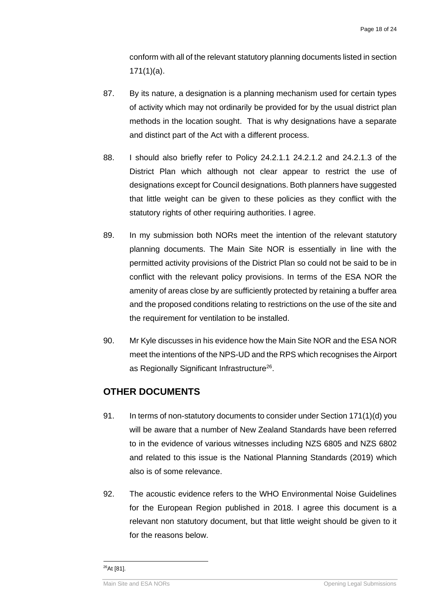conform with all of the relevant statutory planning documents listed in section 171(1)(a).

- 87. By its nature, a designation is a planning mechanism used for certain types of activity which may not ordinarily be provided for by the usual district plan methods in the location sought. That is why designations have a separate and distinct part of the Act with a different process.
- 88. I should also briefly refer to Policy 24.2.1.1 24.2.1.2 and 24.2.1.3 of the District Plan which although not clear appear to restrict the use of designations except for Council designations. Both planners have suggested that little weight can be given to these policies as they conflict with the statutory rights of other requiring authorities. I agree.
- 89. In my submission both NORs meet the intention of the relevant statutory planning documents. The Main Site NOR is essentially in line with the permitted activity provisions of the District Plan so could not be said to be in conflict with the relevant policy provisions. In terms of the ESA NOR the amenity of areas close by are sufficiently protected by retaining a buffer area and the proposed conditions relating to restrictions on the use of the site and the requirement for ventilation to be installed.
- 90. Mr Kyle discusses in his evidence how the Main Site NOR and the ESA NOR meet the intentions of the NPS-UD and the RPS which recognises the Airport as Regionally Significant Infrastructure<sup>26</sup>.

#### **OTHER DOCUMENTS**

- 91. In terms of non-statutory documents to consider under Section 171(1)(d) you will be aware that a number of New Zealand Standards have been referred to in the evidence of various witnesses including NZS 6805 and NZS 6802 and related to this issue is the National Planning Standards (2019) which also is of some relevance.
- 92. The acoustic evidence refers to the WHO Environmental Noise Guidelines for the European Region published in 2018. I agree this document is a relevant non statutory document, but that little weight should be given to it for the reasons below.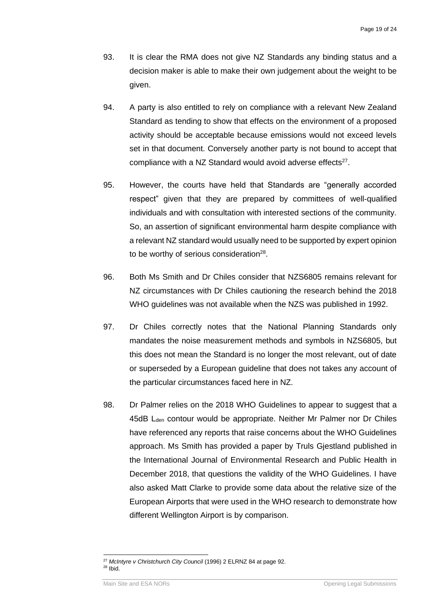- 93. It is clear the RMA does not give NZ Standards any binding status and a decision maker is able to make their own judgement about the weight to be given.
- 94. A party is also entitled to rely on compliance with a relevant New Zealand Standard as tending to show that effects on the environment of a proposed activity should be acceptable because emissions would not exceed levels set in that document. Conversely another party is not bound to accept that compliance with a NZ Standard would avoid adverse effects<sup>27</sup>.
- 95. However, the courts have held that Standards are "generally accorded respect" given that they are prepared by committees of well-qualified individuals and with consultation with interested sections of the community. So, an assertion of significant environmental harm despite compliance with a relevant NZ standard would usually need to be supported by expert opinion to be worthy of serious consideration<sup>28</sup>.
- 96. Both Ms Smith and Dr Chiles consider that NZS6805 remains relevant for NZ circumstances with Dr Chiles cautioning the research behind the 2018 WHO guidelines was not available when the NZS was published in 1992.
- 97. Dr Chiles correctly notes that the National Planning Standards only mandates the noise measurement methods and symbols in NZS6805, but this does not mean the Standard is no longer the most relevant, out of date or superseded by a European guideline that does not takes any account of the particular circumstances faced here in NZ.
- 98. Dr Palmer relies on the 2018 WHO Guidelines to appear to suggest that a 45dB L<sub>den</sub> contour would be appropriate. Neither Mr Palmer nor Dr Chiles have referenced any reports that raise concerns about the WHO Guidelines approach. Ms Smith has provided a paper by Truls Gjestland published in the International Journal of Environmental Research and Public Health in December 2018, that questions the validity of the WHO Guidelines. I have also asked Matt Clarke to provide some data about the relative size of the European Airports that were used in the WHO research to demonstrate how different Wellington Airport is by comparison.

<sup>27</sup> *McIntyre v Christchurch City Council* (1996) 2 ELRNZ 84 at page 92.  $28$  Ibid.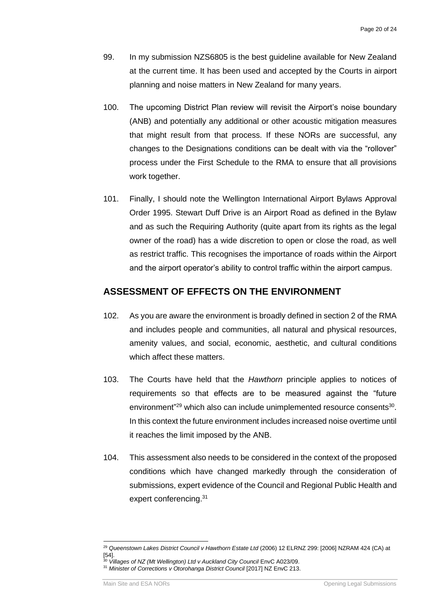- 99. In my submission NZS6805 is the best guideline available for New Zealand at the current time. It has been used and accepted by the Courts in airport planning and noise matters in New Zealand for many years.
- 100. The upcoming District Plan review will revisit the Airport's noise boundary (ANB) and potentially any additional or other acoustic mitigation measures that might result from that process. If these NORs are successful, any changes to the Designations conditions can be dealt with via the "rollover" process under the First Schedule to the RMA to ensure that all provisions work together.
- 101. Finally, I should note the Wellington International Airport Bylaws Approval Order 1995. Stewart Duff Drive is an Airport Road as defined in the Bylaw and as such the Requiring Authority (quite apart from its rights as the legal owner of the road) has a wide discretion to open or close the road, as well as restrict traffic. This recognises the importance of roads within the Airport and the airport operator's ability to control traffic within the airport campus.

#### **ASSESSMENT OF EFFECTS ON THE ENVIRONMENT**

- 102. As you are aware the environment is broadly defined in section 2 of the RMA and includes people and communities, all natural and physical resources, amenity values, and social, economic, aesthetic, and cultural conditions which affect these matters.
- 103. The Courts have held that the *Hawthorn* principle applies to notices of requirements so that effects are to be measured against the "future environment"<sup>29</sup> which also can include unimplemented resource consents<sup>30</sup>. In this context the future environment includes increased noise overtime until it reaches the limit imposed by the ANB.
- 104. This assessment also needs to be considered in the context of the proposed conditions which have changed markedly through the consideration of submissions, expert evidence of the Council and Regional Public Health and expert conferencing.<sup>31</sup>

<sup>29</sup> *Queenstown Lakes District Council v Hawthorn Estate Ltd* (2006) 12 ELRNZ 299: [2006] NZRAM 424 (CA) at [54].

<sup>30</sup> *Villages of NZ (Mt Wellington) Ltd v Auckland City Council* EnvC A023/09.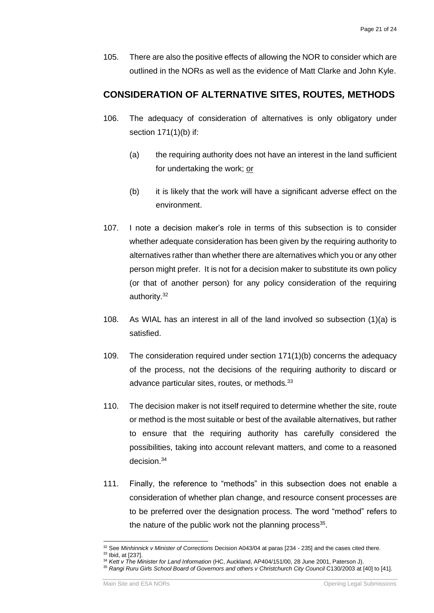105. There are also the positive effects of allowing the NOR to consider which are outlined in the NORs as well as the evidence of Matt Clarke and John Kyle.

#### **CONSIDERATION OF ALTERNATIVE SITES, ROUTES***,* **METHODS**

- 106. The adequacy of consideration of alternatives is only obligatory under section 171(1)(b) if:
	- (a) the requiring authority does not have an interest in the land sufficient for undertaking the work; or
	- (b) it is likely that the work will have a significant adverse effect on the environment.
- 107. I note a decision maker's role in terms of this subsection is to consider whether adequate consideration has been given by the requiring authority to alternatives rather than whether there are alternatives which you or any other person might prefer. It is not for a decision maker to substitute its own policy (or that of another person) for any policy consideration of the requiring authority.<sup>32</sup>
- 108. As WIAL has an interest in all of the land involved so subsection (1)(a) is satisfied.
- 109. The consideration required under section 171(1)(b) concerns the adequacy of the process, not the decisions of the requiring authority to discard or advance particular sites, routes, or methods*.* 33
- 110. The decision maker is not itself required to determine whether the site, route or method is the most suitable or best of the available alternatives, but rather to ensure that the requiring authority has carefully considered the possibilities, taking into account relevant matters, and come to a reasoned decision.<sup>34</sup>
- 111. Finally, the reference to "methods" in this subsection does not enable a consideration of whether plan change, and resource consent processes are to be preferred over the designation process. The word "method" refers to the nature of the public work not the planning process<sup>35</sup>.

<sup>32</sup> See *Minhinnick v Minister of Corrections* Decision A043/04 at paras [234 - 235] and the cases cited there. <sup>33</sup> Ibid, at [237].

<sup>34</sup> *Kett v The Minister for Land Information* (HC, Auckland, AP404/151/00, 28 June 2001, Paterson J).

<sup>35</sup> *Rangi Ruru Girls School Board of Governors and others v Christchurch City Council* C130/2003 at [40] to [41].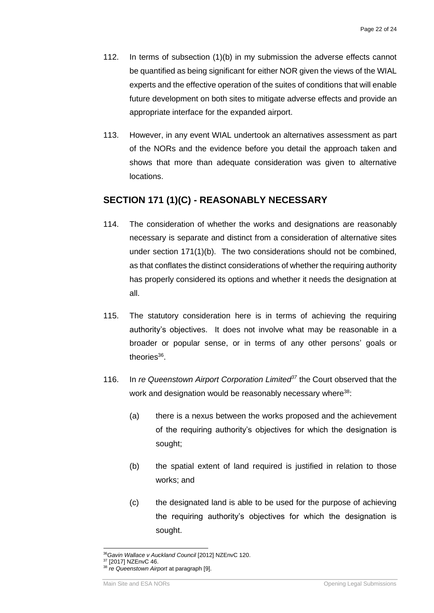- 112. In terms of subsection (1)(b) in my submission the adverse effects cannot be quantified as being significant for either NOR given the views of the WIAL experts and the effective operation of the suites of conditions that will enable future development on both sites to mitigate adverse effects and provide an appropriate interface for the expanded airport.
- 113. However, in any event WIAL undertook an alternatives assessment as part of the NORs and the evidence before you detail the approach taken and shows that more than adequate consideration was given to alternative locations.

#### **SECTION 171 (1)(C) - REASONABLY NECESSARY**

- 114. The consideration of whether the works and designations are reasonably necessary is separate and distinct from a consideration of alternative sites under section 171(1)(b). The two considerations should not be combined, as that conflates the distinct considerations of whether the requiring authority has properly considered its options and whether it needs the designation at all.
- 115. The statutory consideration here is in terms of achieving the requiring authority's objectives. It does not involve what may be reasonable in a broader or popular sense, or in terms of any other persons' goals or theories<sup>36</sup>.
- 116. In *re Queenstown Airport Corporation Limited<sup>37</sup>* the Court observed that the work and designation would be reasonably necessary where<sup>38</sup>:
	- (a) there is a nexus between the works proposed and the achievement of the requiring authority's objectives for which the designation is sought;
	- (b) the spatial extent of land required is justified in relation to those works; and
	- (c) the designated land is able to be used for the purpose of achieving the requiring authority's objectives for which the designation is sought.

<sup>36</sup>*Gavin Wallace v Auckland Council* [2012] NZEnvC 120. <sup>37</sup> [2017] NZEnvC 46.

<sup>38</sup> *re Queenstown Airport* at paragraph [9].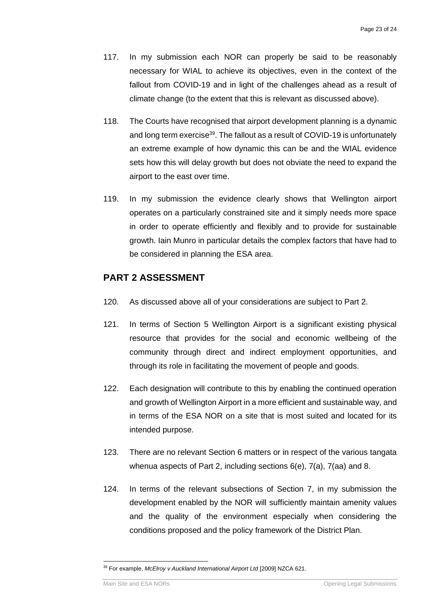- 117. In my submission each NOR can properly be said to be reasonably necessary for WIAL to achieve its objectives, even in the context of the fallout from COVID-19 and in light of the challenges ahead as a result of climate change (to the extent that this is relevant as discussed above).
- 118. The Courts have recognised that airport development planning is a dynamic and long term exercise<sup>39</sup>. The fallout as a result of COVID-19 is unfortunately an extreme example of how dynamic this can be and the WIAL evidence sets how this will delay growth but does not obviate the need to expand the airport to the east over time.
- 119. In my submission the evidence clearly shows that Wellington airport operates on a particularly constrained site and it simply needs more space in order to operate efficiently and flexibly and to provide for sustainable growth. Iain Munro in particular details the complex factors that have had to be considered in planning the ESA area.

#### **PART 2 ASSESSMENT**

- 120. As discussed above all of your considerations are subject to Part 2.
- 121. In terms of Section 5 Wellington Airport is a significant existing physical resource that provides for the social and economic wellbeing of the community through direct and indirect employment opportunities, and through its role in facilitating the movement of people and goods.
- 122. Each designation will contribute to this by enabling the continued operation and growth of Wellington Airport in a more efficient and sustainable way, and in terms of the ESA NOR on a site that is most suited and located for its intended purpose.
- 123. There are no relevant Section 6 matters or in respect of the various tangata whenua aspects of Part 2, including sections 6(e), 7(a), 7(aa) and 8.
- 124. In terms of the relevant subsections of Section 7, in my submission the development enabled by the NOR will sufficiently maintain amenity values and the quality of the environment especially when considering the conditions proposed and the policy framework of the District Plan.

<sup>39</sup> For example, *McElroy v Auckland International Airport Ltd* [2009] NZCA 621.